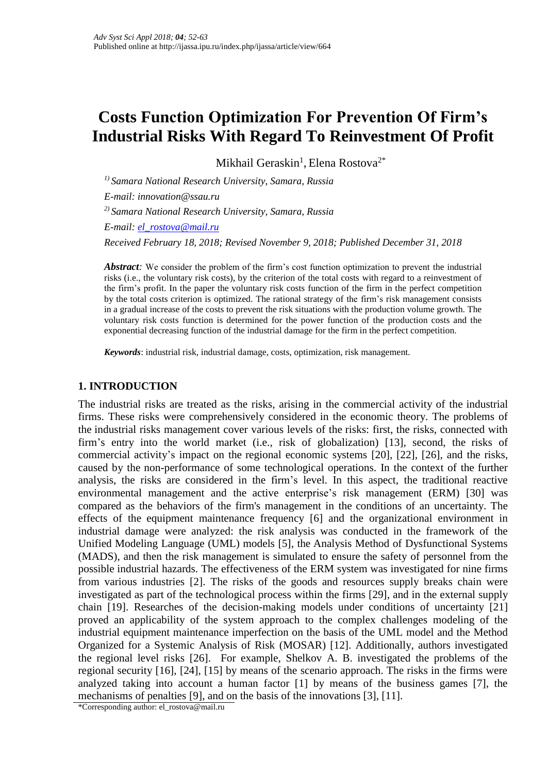# **Costs Function Optimization For Prevention Of Firm's Industrial Risks With Regard To Reinvestment Of Profit**

Mikhail Geraskin<sup>1</sup>, Elena Rostova<sup>2\*</sup>

*1) Samara National Research University, Samara, Russia E-mail: innovation@ssau.ru 2) Samara National Research University, Samara, Russia E-mail: [el\\_rostova@mail.ru](mailto:el_rostova@mail.ru)*

*Received February 18, 2018; Revised November 9, 2018; Published December 31, 2018*

*Abstract*: We consider the problem of the firm's cost function optimization to prevent the industrial risks (i.e., the voluntary risk costs), by the criterion of the total costs with regard to a reinvestment of the firm's profit. In the paper the voluntary risk costs function of the firm in the perfect competition by the total costs criterion is optimized. The rational strategy of the firm's risk management consists in a gradual increase of the costs to prevent the risk situations with the production volume growth. The voluntary risk costs function is determined for the power function of the production costs and the exponential decreasing function of the industrial damage for the firm in the perfect competition.

*Keywords*: industrial risk, industrial damage, costs, optimization, risk management.

## **1. INTRODUCTION**

The industrial risks are treated as the risks, arising in the commercial activity of the industrial firms. These risks were comprehensively considered in the economic theory. The problems of the industrial risks management cover various levels of the risks: first, the risks, connected with firm's entry into the world market (i.e., risk of globalization) [13], second, the risks of commercial activity's impact on the regional economic systems [20], [22], [26], and the risks, caused by the non-performance of some technological operations. In the context of the further analysis, the risks are considered in the firm's level. In this aspect, the traditional reactive environmental management and the active enterprise's risk management (ERM) [30] was compared as the behaviors of the firm's management in the conditions of an uncertainty. The effects of the equipment maintenance frequency [6] and the organizational environment in industrial damage were analyzed: the risk analysis was conducted in the framework of the Unified Modeling Language (UML) models [5], the Analysis Method of Dysfunctional Systems (MADS), and then the risk management is simulated to ensure the safety of personnel from the possible industrial hazards. The effectiveness of the ERM system was investigated for nine firms from various industries [2]. The risks of the goods and resources supply breaks chain were investigated as part of the technological process within the firms [29], and in the external supply chain [19]. Researches of the decision-making models under conditions of uncertainty [21] proved an applicability of the system approach to the complex challenges modeling of the industrial equipment maintenance imperfection on the basis of the UML model and the Method Organized for a Systemic Analysis of Risk (MOSAR) [12]. Additionally, authors investigated the regional level risks [26]. For example, Shelkov A. B. investigated the problems of the regional security [16], [24], [15] by means of the scenario approach. The risks in the firms were analyzed taking into account a human factor [1] by means of the business games [7], the mechanisms of penalties [9], and on the basis of the innovations [3], [11].

<sup>\*</sup>Corresponding author: el\_rostova@mail.ru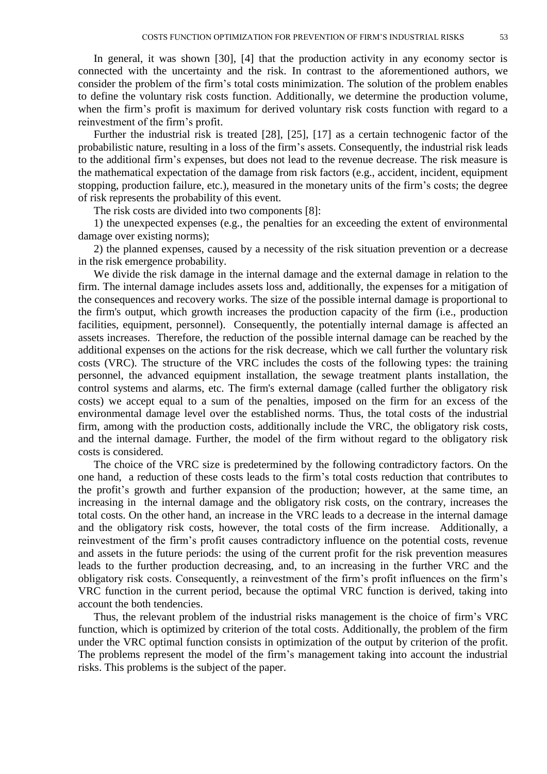In general, it was shown [30], [4] that the production activity in any economy sector is connected with the uncertainty and the risk. In contrast to the aforementioned authors, we consider the problem of the firm's total costs minimization. The solution of the problem enables to define the voluntary risk costs function. Additionally, we determine the production volume, when the firm's profit is maximum for derived voluntary risk costs function with regard to a reinvestment of the firm's profit.

Further the industrial risk is treated [28], [25], [17] as a certain technogenic factor of the probabilistic nature, resulting in a loss of the firm's assets. Consequently, the industrial risk leads to the additional firm's expenses, but does not lead to the revenue decrease. The risk measure is the mathematical expectation of the damage from risk factors (e.g., accident, incident, equipment stopping, production failure, etc.), measured in the monetary units of the firm's costs; the degree of risk represents the probability of this event.

The risk costs are divided into two components [8]:

1) the unexpected expenses (e.g., the penalties for an exceeding the extent of environmental damage over existing norms);

2) the planned expenses, caused by a necessity of the risk situation prevention or a decrease in the risk emergence probability.

We divide the risk damage in the internal damage and the external damage in relation to the firm. The internal damage includes assets loss and, additionally, the expenses for a mitigation of the consequences and recovery works. The size of the possible internal damage is proportional to the firm's output, which growth increases the production capacity of the firm (i.e., production facilities, equipment, personnel). Consequently, the potentially internal damage is affected an assets increases. Therefore, the reduction of the possible internal damage can be reached by the additional expenses on the actions for the risk decrease, which we call further the voluntary risk costs (VRC). The structure of the VRC includes the costs of the following types: the training personnel, the advanced equipment installation, the sewage treatment plants installation, the control systems and alarms, etc. The firm's external damage (called further the obligatory risk costs) we accept equal to a sum of the penalties, imposed on the firm for an excess of the environmental damage level over the established norms. Thus, the total costs of the industrial firm, among with the production costs, additionally include the VRC, the obligatory risk costs, and the internal damage. Further, the model of the firm without regard to the obligatory risk costs is considered.

The choice of the VRC size is predetermined by the following contradictory factors. On the one hand, a reduction of these costs leads to the firm's total costs reduction that contributes to the profit's growth and further expansion of the production; however, at the same time, an increasing in the internal damage and the obligatory risk costs, on the contrary, increases the total costs. On the other hand, an increase in the VRC leads to a decrease in the internal damage and the obligatory risk costs, however, the total costs of the firm increase. Additionally, a reinvestment of the firm's profit causes contradictory influence on the potential costs, revenue and assets in the future periods: the using of the current profit for the risk prevention measures leads to the further production decreasing, and, to an increasing in the further VRC and the obligatory risk costs. Consequently, a reinvestment of the firm's profit influences on the firm's VRC function in the current period, because the optimal VRC function is derived, taking into account the both tendencies.

Thus, the relevant problem of the industrial risks management is the choice of firm's VRC function, which is optimized by criterion of the total costs. Additionally, the problem of the firm under the VRC optimal function consists in optimization of the output by criterion of the profit. The problems represent the model of the firm's management taking into account the industrial risks. This problems is the subject of the paper.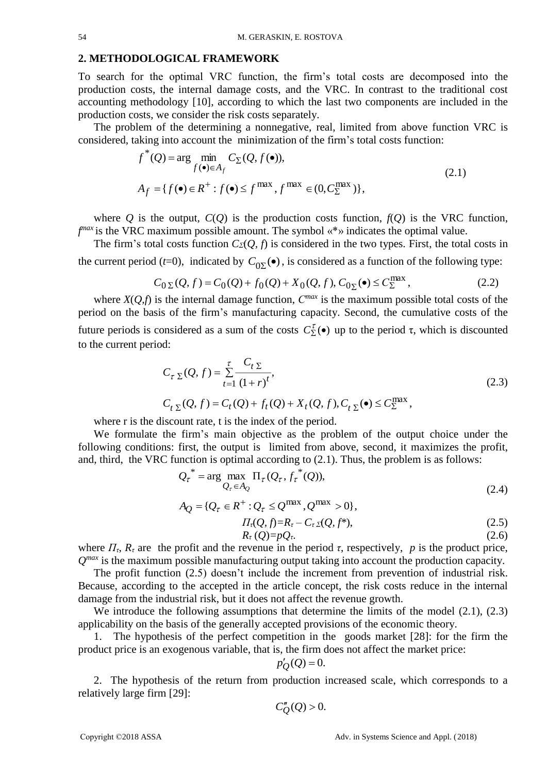#### **2. METHODOLOGICAL FRAMEWORK**

To search for the optimal VRC function, the firm's total costs are decomposed into the production costs, the internal damage costs, and the VRC. In contrast to the traditional cost accounting methodology [10], according to which the last two components are included in the production costs, we consider the risk costs separately.

The problem of the determining a nonnegative, real, limited from above function VRC is considered, taking into account the minimization of the firm's total costs function:

$$
f^*(Q) = \arg\min_{f(\bullet) \in A_f} C_{\Sigma}(Q, f(\bullet)),
$$
  
\n
$$
A_f = \{f(\bullet) \in R^+ : f(\bullet) \le f^{\max}, f^{\max} \in (0, C_{\Sigma}^{\max})\},
$$
\n(2.1)

where *Q* is the output,  $C(O)$  is the production costs function,  $f(O)$  is the VRC function, *f*<sup>max</sup> is the VRC maximum possible amount. The symbol «\*» indicates the optimal value.

The firm's total costs function *CΣ*(*Q, f*) is considered in the two types. First, the total costs in the current period (*t*=0), indicated by  $C_{0\Sigma}(\bullet)$ , is considered as a function of the following type:

$$
C_{0\Sigma}(Q, f) = C_0(Q) + f_0(Q) + X_0(Q, f), C_{0\Sigma}(\bullet) \le C_{\Sigma}^{\max},
$$
\n(2.2)

where  $X(Q, f)$  is the internal damage function,  $C^{max}$  is the maximum possible total costs of the period on the basis of the firm's manufacturing capacity. Second, the cumulative costs of the future periods is considered as a sum of the costs  $C_{\Sigma}^{\tau}(\bullet)$  up to the period τ, which is discounted to the current period:

$$
C_{\tau \Sigma}(Q, f) = \sum_{t=1}^{\tau} \frac{C_{t \Sigma}}{(1+r)^{t}},
$$
  
\n
$$
C_{t \Sigma}(Q, f) = C_{t}(Q) + f_{t}(Q) + X_{t}(Q, f), C_{t \Sigma}(\bullet) \le C_{\Sigma}^{\max},
$$
\n(2.3)

where r is the discount rate, t is the index of the period.

We formulate the firm's main objective as the problem of the output choice under the following conditions: first, the output is limited from above, second, it maximizes the profit, and, third, the VRC function is optimal according to (2.1). Thus, the problem is as follows:

$$
Q_{\tau}^* = \arg\max_{Q_{\tau} \in A_Q} \Pi_{\tau}(Q_{\tau}, f_{\tau}^*(Q)),
$$
\n(2.4)

$$
A_Q = \{Q_\tau \in R^+ : Q_\tau \le Q^{\max}, Q^{\max} > 0\},
$$
  
\n
$$
\Pi_\tau(Q, f) = R_\tau - C_\tau \Sigma(Q, f^*),
$$
\n(2.5)

$$
R_{\tau}(Q)=pQ_{\tau}.
$$
\n
$$
(2.6)
$$

where  $\Pi_{\tau}$ ,  $R_{\tau}$  are the profit and the revenue in the period  $\tau$ , respectively,  $p$  is the product price,  $Q^{max}$  is the maximum possible manufacturing output taking into account the production capacity.

The profit function (2.5) doesn't include the increment from prevention of industrial risk. Because, according to the accepted in the article concept, the risk costs reduce in the internal damage from the industrial risk, but it does not affect the revenue growth.

We introduce the following assumptions that determine the limits of the model  $(2.1)$ ,  $(2.3)$ applicability on the basis of the generally accepted provisions of the economic theory.

1. The hypothesis of the perfect competition in the goods market [28]: for the firm the product price is an exogenous variable, that is, the firm does not affect the market price:

$$
p'_{Q}(Q) = 0.
$$

2. The hypothesis of the return from production increased scale, which corresponds to a relatively large firm [29]:

$$
C''_Q(Q) > 0.
$$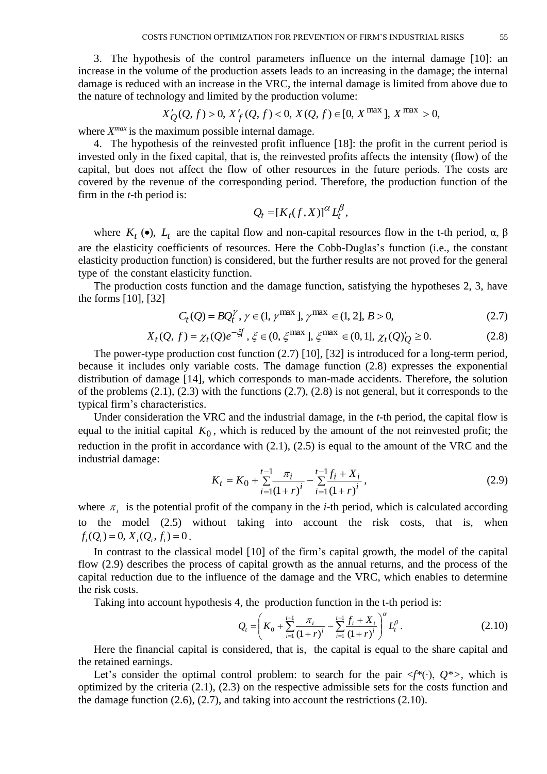3. The hypothesis of the control parameters influence on the internal damage [10]: an increase in the volume of the production assets leads to an increasing in the damage; the internal damage is reduced with an increase in the VRC, the internal damage is limited from above due to the nature of technology and limited by the production volume:

$$
X'_{Q}(Q, f) > 0, X'_{f}(Q, f) < 0, X(Q, f) \in [0, X^{\max}], X^{\max} > 0,
$$

where  $X^{max}$  is the maximum possible internal damage.

4. The hypothesis of the reinvested profit influence [18]: the profit in the current period is invested only in the fixed capital, that is, the reinvested profits affects the intensity (flow) of the capital, but does not affect the flow of other resources in the future periods. The costs are covered by the revenue of the corresponding period. Therefore, the production function of the firm in the *t*-th period is:

$$
Q_t = [K_t(f, X)]^{\alpha} L_t^{\beta},
$$

where  $K_t$  ( $\bullet$ ),  $L_t$  are the capital flow and non-capital resources flow in the t-th period,  $\alpha$ ,  $\beta$ are the elasticity coefficients of resources. Here the Cobb-Duglas's function (i.e., the constant elasticity production function) is considered, but the further results are not proved for the general type of the constant elasticity function.

The production costs function and the damage function, satisfying the hypotheses 2, 3, have the forms [10], [32]

$$
C_t(Q) = BQ_t^{\gamma}, \, \gamma \in (1, \gamma^{\max} \,], \, \gamma^{\max} \in (1, 2], \, B > 0,\tag{2.7}
$$

$$
X_t(Q, f) = \chi_t(Q)e^{-\zeta f}, \xi \in (0, \xi^{\max}], \xi^{\max} \in (0, 1], \chi_t(Q)'_Q \ge 0.
$$
 (2.8)

The power-type production cost function (2.7) [10], [32] is introduced for a long-term period, because it includes only variable costs. The damage function (2.8) expresses the exponential distribution of damage [14], which corresponds to man-made accidents. Therefore, the solution of the problems  $(2.1)$ ,  $(2.3)$  with the functions  $(2.7)$ ,  $(2.8)$  is not general, but it corresponds to the typical firm's characteristics.

Under consideration the VRC and the industrial damage, in the *t*-th period, the capital flow is equal to the initial capital  $K_0$ , which is reduced by the amount of the not reinvested profit; the reduction in the profit in accordance with (2.1), (2.5) is equal to the amount of the VRC and the industrial damage:

$$
K_{t} = K_{0} + \sum_{i=1}^{t-1} \frac{\pi_{i}}{(1+r)^{i}} - \sum_{i=1}^{t-1} \frac{f_{i} + X_{i}}{(1+r)^{i}},
$$
\n(2.9)

where  $\pi_i$  is the potential profit of the company in the *i*-th period, which is calculated according to the model (2.5) without taking into account the risk costs, that is, when  $f_i(Q_i) = 0, X_i(Q_i, f_i) = 0.$ 

In contrast to the classical model [10] of the firm's capital growth, the model of the capital flow (2.9) describes the process of capital growth as the annual returns, and the process of the capital reduction due to the influence of the damage and the VRC, which enables to determine the risk costs.

Taking into account hypothesis 4, the production function in the t-th period is:

$$
Q_{t} = \left(K_{0} + \sum_{i=1}^{t-1} \frac{\pi_{i}}{(1+r)^{i}} - \sum_{i=1}^{t-1} \frac{f_{i} + X_{i}}{(1+r)^{i}}\right)^{\alpha} L_{t}^{\beta}.
$$
 (2.10)

Here the financial capital is considered, that is, the capital is equal to the share capital and the retained earnings.

Let's consider the optimal control problem: to search for the pair <*f\**(∙), *Q\*>,* which is optimized by the criteria (2.1), (2.3) on the respective admissible sets for the costs function and the damage function  $(2.6)$ ,  $(2.7)$ , and taking into account the restrictions  $(2.10)$ .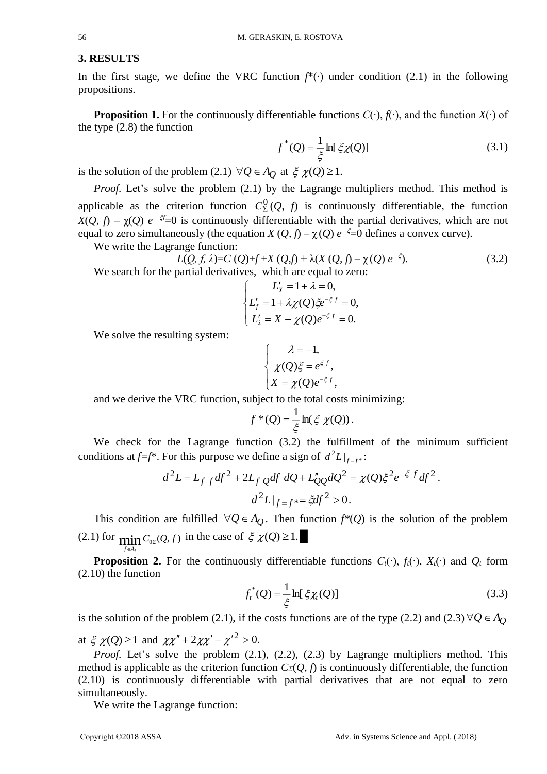#### **3. RESULTS**

In the first stage, we define the VRC function *f*\*(∙) under condition (2.1) in the following propositions.

**Proposition 1.** For the continuously differentiable functions  $C(\cdot)$ ,  $f(\cdot)$ , and the function  $X(\cdot)$  of the type (2.8) the function

$$
f^*(Q) = \frac{1}{\xi} \ln[\xi \chi(Q)]
$$
 (3.1)

is the solution of the problem (2.1)  $\forall Q \in A_Q$  at  $\xi \chi(Q) \ge 1$ .

*Proof.* Let's solve the problem (2.1) by the Lagrange multipliers method. This method is applicable as the criterion function  $C_{\Sigma}^{0}(Q, f)$  is continuously differentiable, the function *X*(*Q, f*) –  $\chi$ (*Q*) *e*<sup>-  $\zeta$ <sub>=</sub>0 is continuously differentiable with the partial derivatives, which are not</sup> equal to zero simultaneously (the equation  $X(Q, f) - \chi(Q) e^{-\zeta} = 0$  defines a convex curve).

We write the Lagrange function:

$$
L(Q, f, \lambda) = C(Q) + f + X(Q, f) + \lambda(X(Q, f) - \chi(Q)) e^{-\xi}).
$$
\nWe search for the partial derivatives, which are equal to zero:

\n(3.2)

$$
\begin{cases}\nL'_x = 1 + \lambda = 0, \\
L'_f = 1 + \lambda \chi(Q) \xi e^{-\xi f} = 0, \\
L'_\lambda = X - \chi(Q) e^{-\xi f} = 0.\n\end{cases}
$$

We solve the resulting system:

$$
\begin{cases}\n\lambda = -1, \\
\chi(Q)\xi = e^{\xi f}, \\
X = \chi(Q)e^{-\xi f},\n\end{cases}
$$

and we derive the VRC function, subject to the total costs minimizing:

$$
f^*(Q) = \frac{1}{\xi} \ln(\xi \chi(Q)).
$$

We check for the Lagrange function (3.2) the fulfillment of the minimum sufficient conditions at  $f=f^*$ . For this purpose we define a sign of  $d^2L|_{f=f^*}$ :

$$
d^{2}L = L_{f} f df^{2} + 2L_{f} Q df dQ + L_{QQ}^{n} dQ^{2} = \chi(Q) \xi^{2} e^{-\xi f} df^{2}.
$$

$$
d^{2}L|_{f=f^{*}} = \xi df^{2} > 0.
$$

This condition are fulfilled  $\forall Q \in A_Q$ . Then function  $f^*(Q)$  is the solution of the problem (2.1) for  $\min_{Q_0} C_{Q} (Q, f)$  in the case of  $\zeta$   $\chi(Q) \ge 1$ .

**Proposition 2.** For the continuously differentiable functions  $C_t(\cdot)$ ,  $f_t(\cdot)$ ,  $X_t(\cdot)$  and  $O_t$  form (2.10) the function

$$
f_t^*(Q) = \frac{1}{\xi} \ln[\xi \chi_t(Q)] \tag{3.3}
$$

is the solution of the problem (2.1), if the costs functions are of the type (2.2) and (2.3)  $\forall Q \in A_Q$ 

at  $\xi \chi(Q) \ge 1$  and  $\chi \chi'' + 2 \chi \chi' - {\chi'}^2 > 0$ .

*Proof.* Let's solve the problem (2.1), (2.2), (2.3) by Lagrange multipliers method. This method is applicable as the criterion function  $C<sub>2</sub>(Q, f)$  is continuously differentiable, the function (2.10) is continuously differentiable with partial derivatives that are not equal to zero simultaneously.

We write the Lagrange function:

*Af f* F.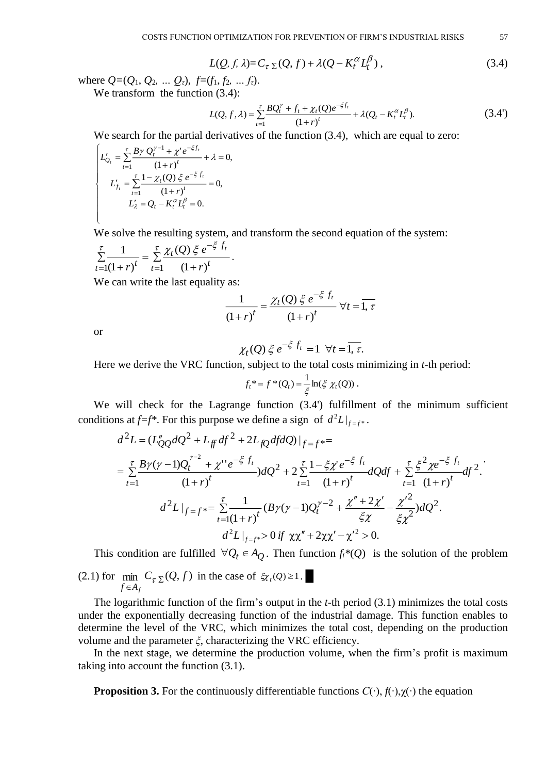$$
L(Q, f, \lambda) = C_{\tau \Sigma}(Q, f) + \lambda (Q - K_t^{\alpha} L_t^{\beta}), \qquad (3.4)
$$

where  $Q=(Q_1, Q_2, \ldots Q_t)$ ,  $f=(f_1, f_2, \ldots f_t)$ . We transform the function  $(3.4)$ :

$$
L(Q, f, \lambda) = \sum_{t=1}^{\tau} \frac{BQ_t^{\gamma} + f_t + \chi_t(Q)e^{-\xi f_t}}{(1+r)^t} + \lambda(Q_t - K_t^{\alpha}L_t^{\beta}).
$$
\n(3.4')

We search for the partial derivatives of the function  $(3.4)$ , which are equal to zero:

$$
\begin{cases}\nL'_{Q_t} = \sum_{t=1}^{\tau} \frac{B\gamma Q_t^{\gamma-1} + \chi^{\prime} e^{-\xi f_t}}{(1+r)^t} + \lambda = 0, \\
L'_{f_t} = \sum_{t=1}^{\tau} \frac{1 - \chi_t(Q) \xi e^{-\xi f_t}}{(1+r)^t} = 0, \\
L'_{\lambda} = Q_t - K_t^{\alpha} L_t^{\beta} = 0.\n\end{cases}
$$

We solve the resulting system, and transform the second equation of the system:

.

$$
\sum_{t=1}^{\tau} \frac{1}{(1+r)^t} = \sum_{t=1}^{\tau} \frac{\chi_t(Q) \xi e^{-\xi f_t}}{(1+r)^t}
$$

We can write the last equality as:

$$
\frac{1}{(1+r)^t} = \frac{\chi_t(Q) \xi e^{-\xi f_t}}{(1+r)^t} \,\forall t = \overline{1, \tau}
$$

or

$$
\chi_t(Q) \xi e^{-\xi f_t} = 1 \ \forall t = \overline{1, \tau}.
$$

Here we derive the VRC function, subject to the total costs minimizing in *t*-th period:

$$
f_t^* = f^*(Q_t) = \frac{1}{\xi} \ln(\xi \chi_t(Q)).
$$

We will check for the Lagrange function (3.4') fulfillment of the minimum sufficient conditions at  $f=f^*$ . For this purpose we define a sign of  $d^2L|_{f=f^*}$ .

$$
d^{2}L = (L''_{QQ}dQ^{2} + L_{ff}df^{2} + 2L_{fQ}dfdQ)|_{f=f^{*}} =
$$
\n
$$
= \sum_{t=1}^{\tau} \frac{B\gamma(\gamma - 1)Q_{t}^{\gamma - 2} + \chi''e^{-\xi f_{t}}}{(1+r)^{t}} dQ^{2} + 2\sum_{t=1}^{\tau} \frac{1 - \xi\chi'e^{-\xi f_{t}}}{(1+r)^{t}} dQdf + \sum_{t=1}^{\tau} \frac{\xi^{2}\chi e^{-\xi f_{t}}}{(1+r)^{t}} df^{2}.
$$
\n
$$
d^{2}L|_{f=f^{*}} = \sum_{t=1}^{\tau} \frac{1}{(1+r)^{t}} (B\gamma(\gamma - 1)Q_{t}^{\gamma - 2} + \frac{\chi'' + 2\chi'}{\xi\chi} - \frac{\chi'^{2}}{\xi\chi^{2}}) dQ^{2}.
$$
\n
$$
d^{2}L|_{f=f^{*}} > 0 \text{ if } \chi\chi'' + 2\chi\chi' - \chi'^{2} > 0.
$$

This condition are fulfilled  $\forall Q_t \in A_Q$ . Then function  $f_t^*(Q)$  is the solution of the problem (2.1) for min  $C_{\tau \Sigma}(Q, f)$  in the case of  $\zeta_{\chi}(Q) \geq 1$ .  $f \in A_f$ 

The logarithmic function of the firm's output in the *t*-th period (3.1) minimizes the total costs under the exponentially decreasing function of the industrial damage. This function enables to determine the level of the VRC, which minimizes the total cost, depending on the production volume and the parameter *ξ*, characterizing the VRC efficiency.

In the next stage, we determine the production volume, when the firm's profit is maximum taking into account the function (3.1).

**Proposition 3.** For the continuously differentiable functions *С*(∙), *f*(∙),χ(∙) the equation

.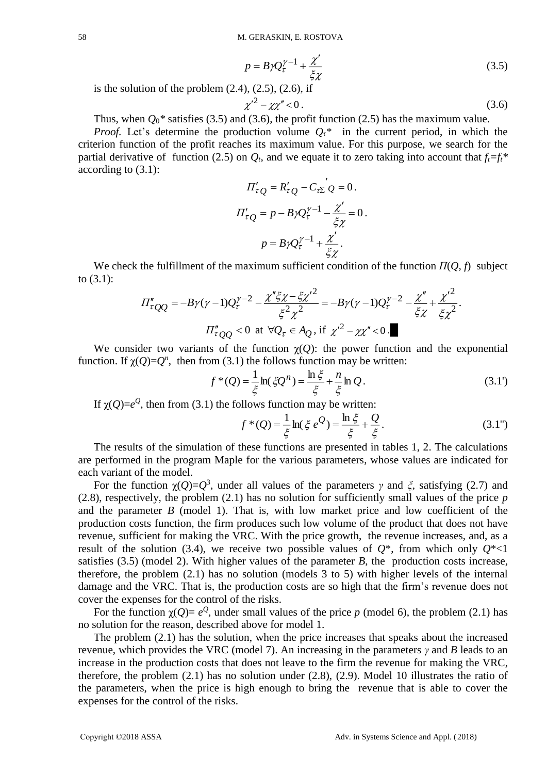$$
p = B \gamma Q_{\tau}^{\gamma - 1} + \frac{\chi'}{\xi \chi} \tag{3.5}
$$

is the solution of the problem  $(2.4)$ ,  $(2.5)$ ,  $(2.6)$ , if

$$
\chi'^2 - \chi \chi'' < 0 \,. \tag{3.6}
$$

Thus, when  $Q_0^*$  satisfies (3.5) and (3.6), the profit function (2.5) has the maximum value.

*Proof.* Let's determine the production volume  $Q_t^*$  in the current period, in which the criterion function of the profit reaches its maximum value. For this purpose, we search for the partial derivative of function (2.5) on  $O_t$ , and we equate it to zero taking into account that  $f_t = f_t^*$ according to (3.1):

$$
\Pi'_{\tau Q} = R'_{\tau Q} - C_{\tau \Sigma} Q = 0.
$$
  

$$
\Pi'_{\tau Q} = p - B \gamma Q_{\tau}^{\gamma - 1} - \frac{\chi'}{\xi \chi} = 0.
$$
  

$$
p = B \gamma Q_{\tau}^{\gamma - 1} + \frac{\chi'}{\xi \chi}.
$$

We check the fulfillment of the maximum sufficient condition of the function *П*(*Q, f*) subject to (3.1):

$$
\Pi_{\tau QQ}'' = -B\gamma(\gamma - 1)Q_{\tau}^{\gamma - 2} - \frac{\chi''\xi\chi - \xi{\chi'}^2}{\xi^2\chi^2} = -B\gamma(\gamma - 1)Q_{\tau}^{\gamma - 2} - \frac{\chi''}{\xi\chi} + \frac{{\chi'}^2}{\xi\chi^2}.
$$

$$
\Pi_{\tau QQ}'' < 0 \text{ at } \forall Q_{\tau} \in A_Q, \text{ if } {\chi'}^2 - \chi{\chi''} < 0.
$$

We consider two variants of the function  $\chi(Q)$ : the power function and the exponential function. If  $\chi(Q) = Q^n$ , then from (3.1) the follows function may be written:

$$
f^*(Q) = \frac{1}{\xi} \ln(\xi Q^n) = \frac{\ln \xi}{\xi} + \frac{n}{\xi} \ln Q.
$$
 (3.1')

If  $\chi(Q)=e^Q$ , then from (3.1) the follows function may be written:

$$
f^*(Q) = \frac{1}{\xi} \ln(\xi \, e^Q) = \frac{\ln \xi}{\xi} + \frac{Q}{\xi}.
$$
 (3.1")

The results of the simulation of these functions are presented in tables 1, 2. The calculations are performed in the program Maple for the various parameters, whose values are indicated for each variant of the model.

For the function  $\chi(Q) = Q^3$ , under all values of the parameters *γ* and *ξ*, satisfying (2.7) and (2.8), respectively, the problem (2.1) has no solution for sufficiently small values of the price *p* and the parameter *B* (model 1). That is, with low market price and low coefficient of the production costs function, the firm produces such low volume of the product that does not have revenue, sufficient for making the VRC. With the price growth, the revenue increases, and, as a result of the solution (3.4), we receive two possible values of  $O^*$ , from which only  $O^*$ <1 satisfies (3.5) (model 2). With higher values of the parameter *B*, the production costs increase, therefore, the problem (2.1) has no solution (models 3 to 5) with higher levels of the internal damage and the VRC. That is, the production costs are so high that the firm's revenue does not cover the expenses for the control of the risks.

For the function  $\chi(Q) = e^Q$ , under small values of the price *p* (model 6), the problem (2.1) has no solution for the reason, described above for model 1.

The problem (2.1) has the solution, when the price increases that speaks about the increased revenue, which provides the VRC (model 7). An increasing in the parameters *γ* and *B* leads to an increase in the production costs that does not leave to the firm the revenue for making the VRC, therefore, the problem (2.1) has no solution under (2.8), (2.9). Model 10 illustrates the ratio of the parameters, when the price is high enough to bring the revenue that is able to cover the expenses for the control of the risks.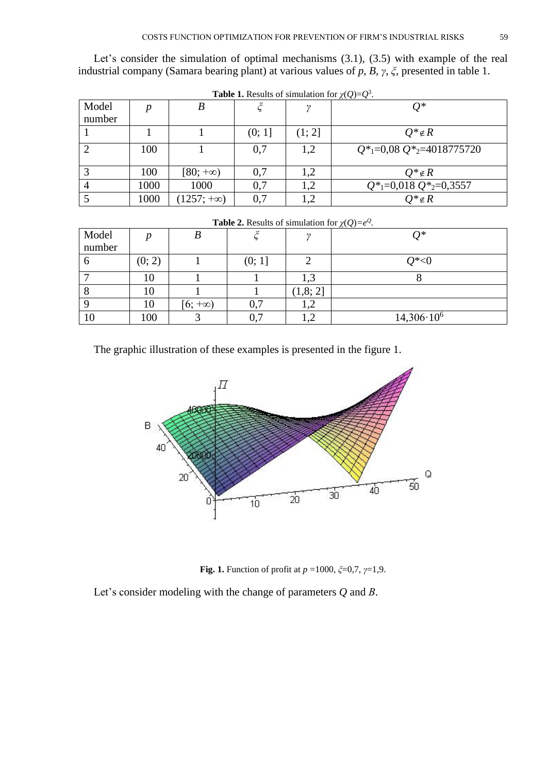Let's consider the simulation of optimal mechanisms  $(3.1)$ ,  $(3.5)$  with example of the real industrial company (Samara bearing plant) at various values of *p*, *B*, *γ*, *ξ*, presented in table 1.

| <b>Table 1.</b> Results of simulation for $\chi(Q)=Q^3$ . |      |                   |        |        |                                                         |  |  |  |  |
|-----------------------------------------------------------|------|-------------------|--------|--------|---------------------------------------------------------|--|--|--|--|
| Model<br>number                                           | n    |                   |        |        | $Q^*$                                                   |  |  |  |  |
|                                                           |      |                   | (0; 1] | (1; 2] | $Q^* \notin R$                                          |  |  |  |  |
|                                                           | 100  |                   | 0,7    | 1,2    | $Q^*$ <sub>1</sub> =0,08 $Q^*$ <sub>2</sub> =4018775720 |  |  |  |  |
|                                                           | 100  | $[80; +\infty)$   | 0,7    | 1,2    | $Q^* \notin R$                                          |  |  |  |  |
|                                                           | 1000 | 1000              | 0.7    | 1,2    | $Q^*$ <sub>1</sub> =0,018 $Q^*$ <sub>2</sub> =0,3557    |  |  |  |  |
|                                                           | 1000 | $(1257; +\infty)$ | 0,7    | 1,2    | $Q^* \notin R$                                          |  |  |  |  |

| <b>Table 1.</b> Results of simulation for $\chi(Q)=Q^3$ |  |  |  |  |
|---------------------------------------------------------|--|--|--|--|
|---------------------------------------------------------|--|--|--|--|

| <b>Table 2.</b> Results 01 simulation for $\chi(Q) = e^{\epsilon}$ . |        |                |        |          |                     |  |  |  |  |
|----------------------------------------------------------------------|--------|----------------|--------|----------|---------------------|--|--|--|--|
| Model<br>number                                                      |        | В              |        |          | ∩*                  |  |  |  |  |
|                                                                      |        |                |        |          |                     |  |  |  |  |
|                                                                      | (0; 2) |                | (0; 1] |          | $Q^*<0$             |  |  |  |  |
|                                                                      | 10     |                |        | 1,3      |                     |  |  |  |  |
|                                                                      | 10     |                |        | (1,8; 2] |                     |  |  |  |  |
|                                                                      | 10     | $[6; +\infty)$ | 0,7    | 1,2      |                     |  |  |  |  |
| 10                                                                   | 100    |                | 0,7    | 1,4      | $14,306 \cdot 10^6$ |  |  |  |  |

**Table 2.** Results of simulation for  $\chi(Q)=e^Q$ .

The graphic illustration of these examples is presented in the figure 1.



**Fig. 1.** Function of profit at *p* =1000, *ξ*=0,7, *γ*=1,9.

Let's consider modeling with the change of parameters *Q* and *В*.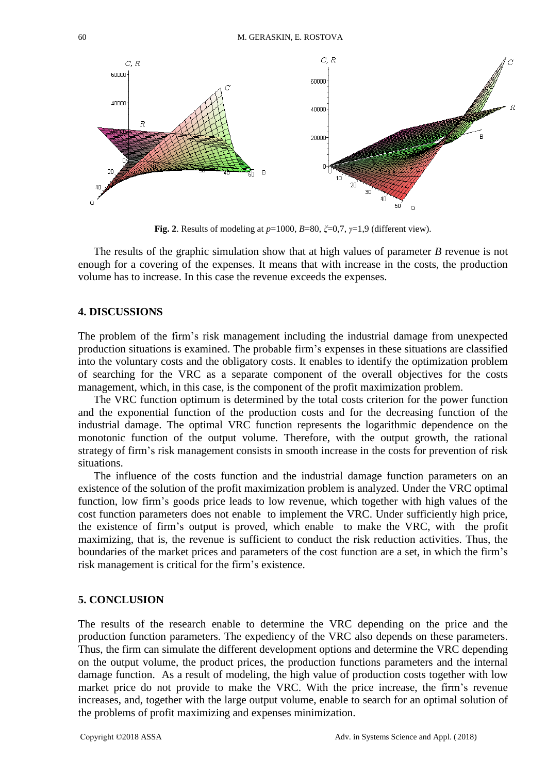

**Fig. 2**. Results of modeling at *p*=1000, *B*=80, *ξ*=0,7, *γ*=1,9 (different view).

The results of the graphic simulation show that at high values of parameter *B* revenue is not enough for a covering of the expenses. It means that with increase in the costs, the production volume has to increase. In this case the revenue exceeds the expenses.

#### **4. DISCUSSIONS**

The problem of the firm's risk management including the industrial damage from unexpected production situations is examined. The probable firm's expenses in these situations are classified into the voluntary costs and the obligatory costs. It enables to identify the optimization problem of searching for the VRC as a separate component of the overall objectives for the costs management, which, in this case, is the component of the profit maximization problem.

The VRC function optimum is determined by the total costs criterion for the power function and the exponential function of the production costs and for the decreasing function of the industrial damage. The optimal VRC function represents the logarithmic dependence on the monotonic function of the output volume. Therefore, with the output growth, the rational strategy of firm's risk management consists in smooth increase in the costs for prevention of risk situations.

The influence of the costs function and the industrial damage function parameters on an existence of the solution of the profit maximization problem is analyzed. Under the VRC optimal function, low firm's goods price leads to low revenue, which together with high values of the cost function parameters does not enable to implement the VRC. Under sufficiently high price, the existence of firm's output is proved, which enable to make the VRC, with the profit maximizing, that is, the revenue is sufficient to conduct the risk reduction activities. Thus, the boundaries of the market prices and parameters of the cost function are a set, in which the firm's risk management is critical for the firm's existence.

### **5. CONCLUSION**

The results of the research enable to determine the VRC depending on the price and the production function parameters. The expediency of the VRC also depends on these parameters. Thus, the firm can simulate the different development options and determine the VRC depending on the output volume, the product prices, the production functions parameters and the internal damage function. As a result of modeling, the high value of production costs together with low market price do not provide to make the VRC. With the price increase, the firm's revenue increases, and, together with the large output volume, enable to search for an optimal solution of the problems of profit maximizing and expenses minimization.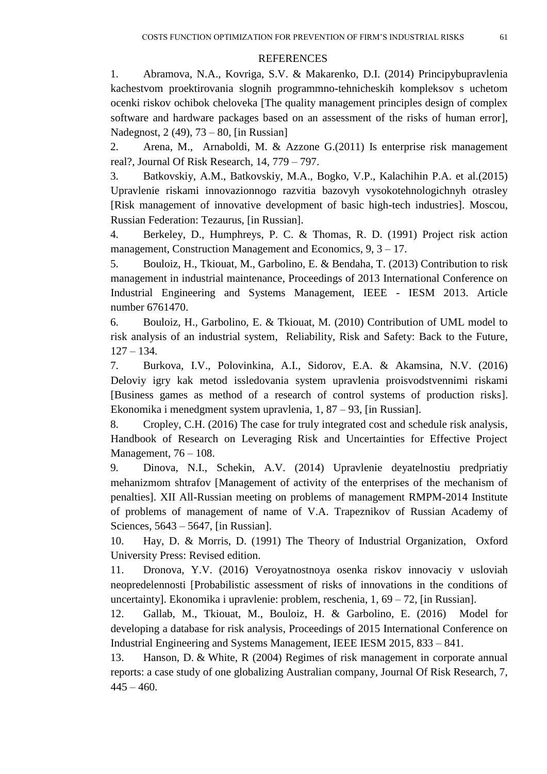#### **REFERENCES**

1. Abramova, N.A., Kovriga, S.V. & Makarenko, D.I. (2014) Principybupravlenia kachestvom proektirovania slognih programmno-tehnicheskih kompleksov s uchetom ocenki riskov ochibok cheloveka [The quality management principles design of complex software and hardware packages based on an assessment of the risks of human error], Nadegnost, 2 (49), 73 – 80, [in Russian]

2. [Arena,](http://www.tandfonline.com/author/Arena%2C+Marika) M., [Arnaboldi,](http://www.tandfonline.com/author/Arnaboldi%2C+Michela) M. & [Azzone](http://www.tandfonline.com/author/Azzone%2C+Giovanni) G.(2011) [Is enterprise risk management](http://www.tandfonline.com/doi/full/10.1080/13669877.2011.571775)  [real?,](http://www.tandfonline.com/doi/full/10.1080/13669877.2011.571775) [Journal Of Risk Research,](http://www.tandfonline.com/toc/rjrr20/current) 14, 779 – 797.

3. Batkovskiy, A.M., Batkovskiy, M.A., Bogko, V.P., Kalachihin P.A. et al.(2015) Upravlenie riskami innovazionnogo razvitia bazovyh vysokotehnologichnyh otrasley [Risk management of innovative development of basic high-tech industries]. Moscou, Russian Federation: Tezaurus, [in Russian].

4. [Berkeley,](http://www.tandfonline.com/author/Berkeley%2C+D) D., [Humphreys,](http://www.tandfonline.com/author/Humphreys%2C+P+C) P. C. & [Thomas,](http://www.tandfonline.com/author/Thomas%2C+R+D) R. D. (1991) Project risk action management, [Construction Management and Economics,](http://www.tandfonline.com/toc/rcme20/current) 9, 3 – 17.

5. [Bouloiz, H.,](https://www.scopus.com/authid/detail.uri?authorId=35279488400&eid=2-s2.0-84899090643) [Tkiouat, M.,](https://www.scopus.com/authid/detail.uri?authorId=22954508200&eid=2-s2.0-84899090643) [Garbolino, E.](https://www.scopus.com/authid/detail.uri?authorId=23979791000&eid=2-s2.0-84899090643) & [Bendaha, T.](https://www.scopus.com/authid/detail.uri?authorId=56126419100&eid=2-s2.0-84899090643) (2013) Contribution to risk management in industrial maintenance, Proceedings of 2013 International Conference on Industrial Engineering and Systems Management, IEEE - IESM 2013. Article number 6761470.

6. [Bouloiz, H.,](https://www.scopus.com/authid/detail.uri?authorId=35279488400&eid=2-s2.0-84861685400) [Garbolino, E.](https://www.scopus.com/authid/detail.uri?authorId=23979791000&eid=2-s2.0-84861685400) & [Tkiouat, M.](https://www.scopus.com/authid/detail.uri?authorId=22954508200&eid=2-s2.0-84861685400) (2010) Contribution of UML model to risk analysis of an industrial system, Reliability, Risk and Safety: Back to the Future,  $127 - 134.$ 

7. Burkova, I.V., Polovinkina, A.I., Sidorov, E.A. & Akamsina, N.V. (2016) Deloviy igry kak metod issledovania system upravlenia proisvodstvennimi riskami [Business games as method of a research of control systems of production risks]. Ekonomika i menedgment system upravlenia, 1, 87 – 93, [in Russian].

8. [Cropley, C.H.](https://www.scopus.com/authid/detail.uri?authorId=57193754160&eid=2-s2.0-85016342724) (2016) The case for truly integrated cost and schedule risk analysis, Handbook of Research on Leveraging Risk and Uncertainties for Effective Project Management, 76 – 108.

9. Dinova, N.I., Schekin, A.V. (2014) Upravlenie deyatelnostiu predpriatiy mehanizmom shtrafov [Management of activity of the enterprises of the mechanism of penalties]. XII All-Russian meeting on problems of management RMPM-2014 Institute of problems of management of name of V.A. Trapeznikov of Russian Academy of Sciences, 5643 – 5647, [in Russian].

10. Hay, D. & Morris, D. (1991) [The Theory of Industrial Organization,](http://www.yandex.ru/clck/jsredir?from=www.yandex.ru%3Bsearch%2F%3Bweb%3B%3B&text=&etext=1526.CEJjl-csD7NkSlsx_fYoGv0ZN83QBU4ditmZWUnMojUhRnVREIsZSBJtXmpmh4h6TiKuBpNb7zjj8b4jxI0eOSiwxmq5_39bGpK2el-XKnJm620gXvXehnSSA4cM_ZOf.09528e1308a752c14aad78479f49d86d326bc65e&uuid=&state=PEtFfuTeVD5kpHnK9lio9aJ2gf1Q1OEQHP1rbfzHEMvZEAs4QuMnSA,,&&cst=AiuY0DBWFJ4BWM_uhLTTxKAINa8nXE0QyuXK26cPLt9mPwJi0Cu-q9dnQsSSU3KSpdQQTcP-USiat9ndD75dr5aqyAqFnZHKFCDD5sVsN4lQ_JYzNEB0G5fPsk_DqL7rtJgTBQ0ekuKl_-gewLmBANsWNHmvMDHXCCUMzkzs6oBesxrXuDXbDe9dU65I7hYPmj2LCgojDR4gcovBzbqK8_TExa6JvAf5R8RCfhH9rTfB8R38rOyOEF-ZIoAt4tAu1J52h93RWSXqYvu1DXDw4oNz2CZN_-jxQ7khBA-YewECDfGMp5zNrUVbZUIkC6vdBSRDyQMLjdr4ESlVEoncnH7eqbVDKMBOFCsFgSeeuZ9HWkcQF1ylAxZJk2RKW-zxUH_0FUlZGPgmRuhiZ4RmtGqulPQCuxgPfg-J7UGy62We4FatS7jGJCSs83wzgs3FeaBEORlKUbeKA9xPHXT6Criu47GiRr6Az8dXiavaLHbZRl1gfzIRB4jToaVtB-9j1p7IeZgrEkqaTJawpF-kQtmrAVJhAH8KaFOfDQ3m5YsPTPwNYhhP50_1UzXFoKP6SwZ4JuoDDt5SMOm0YzYjHzaeoC_q_mH9Tcz_htqEvcxCsU-IbMykuA,,&data=UlNrNmk5WktYejR0eWJFYk1Ldmtxc0pwRmlwRUdwa3VSc3BYMGN0VUpuUGFRN29nT19XelRPVW1TTzA0a0tYbzhyWmdQTFJIa2FnRVdNdlZNWDdIRkhmTmRIb2dGaXYtRXlQd2NKQjFWUk9PeERXT082eWxWdGtQVVhkMmxKZmQ,&sign=9612ba3accb0edcbde59c458443ca5bf&keyno=0&b64e=2&ref=orjY4mGPRjlSKyJlbRuxUg7kv3-HD3rXiavFwWJoh0Xed257T3joK5nRp9UEYQJVP7bGMRk5s4YUz2bkYLpgHkLlwdxEAIBsdJhdXa7PbSysqUKceppoMVd1Qbanxvqx-_DxOxLLTD65yMv5yQy9wncnweMb5eTU4Umi-nbOslYZ7DwzzWpTN98JCYQzHHv43GdhHrdTNFEc7BT3WPclHw,,&l10n=ru&cts=1503840574097&mc=5.082572242396763) Oxford University Press: Revised edition.

11. Dronova, Y.V. (2016) Veroyatnostnoya osenka riskov innovaciy v usloviah neopredelennosti [Probabilistic assessment of risks of innovations in the conditions of uncertainty]. Ekonomika i upravlenie: problem, reschenia, 1, 69 – 72, [in Russian].

12. [Gallab, M.,](https://www.scopus.com/authid/detail.uri?authorId=57110432500&eid=2-s2.0-84971635986) [Tkiouat, M.,](https://www.scopus.com/authid/detail.uri?authorId=22954508200&eid=2-s2.0-84971635986) [Bouloiz, H.](https://www.scopus.com/authid/detail.uri?authorId=35279488400&eid=2-s2.0-84971635986) & [Garbolino, E.](https://www.scopus.com/authid/detail.uri?authorId=23979791000&eid=2-s2.0-84971635986) (2016) Model for developing a database for risk analysis, Proceedings of 2015 International Conference on Industrial Engineering and Systems Management, IEEE IESM 2015, 833 – 841.

13. [Hanson, D.](http://www.tandfonline.com/author/Hanson%2C+Dallas) & [White,](http://www.tandfonline.com/author/White%2C+Robert) R (2004) [Regimes of risk management in corporate annual](http://www.tandfonline.com/doi/abs/10.1080/136698704200028374)  reports: a case study of one [globalizing Australian company,](http://www.tandfonline.com/doi/abs/10.1080/136698704200028374) [Journal Of Risk Research,](http://www.tandfonline.com/toc/rjrr20/current) 7,  $445 - 460.$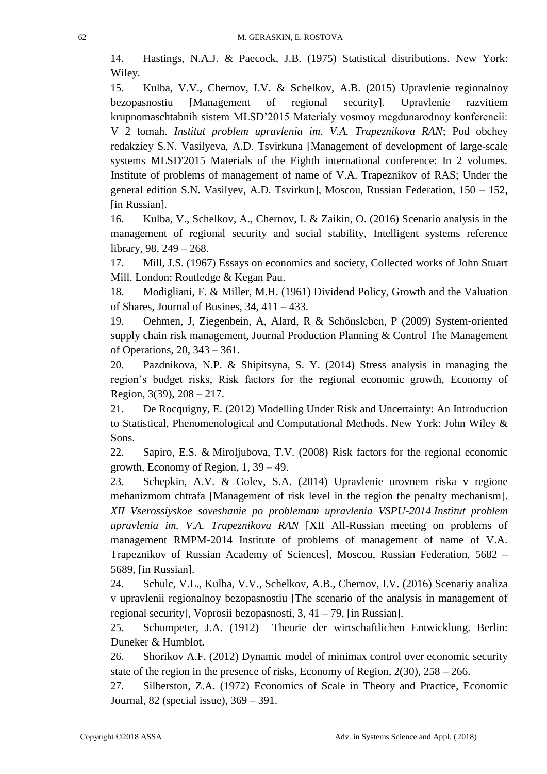14. Hastings, N.A.J. & Paecock, J.B. (1975) Statistical distributions. New York: Wiley.

15. Kulba, V.V., Chernov, I.V. & Schelkov, A.B. (2015) Upravlenie regionalnoy bezopasnostiu [Management of regional security]. Upravlenie razvitiem krupnomaschtabnih sistem MLSD'2015 Materialy vosmoy megdunarodnoy konferencii: V 2 tomah. *Institut problem upravlenia im. V.A. Trapeznikova RAN*; Pod obchey redakziey S.N. Vasilyeva, A.D. Tsvirkuna [Management of development of large-scale systems MLSD'2015 Materials of the Eighth international conference: In 2 volumes. Institute of problems of management of name of V.A. Trapeznikov of RAS; Under the general edition S.N. Vasilyev, A.D. Tsvirkun], Moscou, Russian Federation, 150 – 152, [in Russian].

16. Kulba, V., Schelkov, A., Chernov, I. & Zaikin, O. (2016) Scenario analysis in the management of regional security and social stability, Intelligent systems reference library, 98, 249 – 268.

17. Mill, J.S. (1967) Essays on economics and society, Collected works of John Stuart Mill. London: Routledge & Kegan Pau.

18. Modigliani, F. & Miller, M.H. (1961) Dividend Policy, Growth and the Valuation of Shares, Journal of Busines, 34, 411 – 433.

19. [Oehmen,](http://www.tandfonline.com/author/Oehmen%2C+Josef) J, [Ziegenbein,](http://www.tandfonline.com/author/Ziegenbein%2C+Arne) A, [Alard,](http://www.tandfonline.com/author/Alard%2C+Robert) R & [Schönsleben,](http://www.tandfonline.com/author/Sch%C3%B6nsleben%2C+Paul) P (2009) [System-oriented](http://www.tandfonline.com/doi/full/10.1080/09537280902843789)  [supply chain risk management,](http://www.tandfonline.com/doi/full/10.1080/09537280902843789) Journal [Production Planning & Control](http://www.tandfonline.com/toc/tppc20/current) The Management of Operations, 20, 343 – 361.

20. [Pazdnikova, N.P.](http://elibrary.ru/author_items.asp?authorid=517935) & [Shipitsyna, S. Y.](http://elibrary.ru/author_items.asp?authorid=542737) (2014) Stress analysis in managing the region's budget risks, Risk factors for the regional economic growth, Economy of Region, 3(39), 208 – 217.

21. [De Rocquigny, E.](https://www.scopus.com/authid/detail.uri?authorId=6508087976&eid=2-s2.0-84949787569) (2012) Modelling Under Risk and Uncertainty: An Introduction to Statistical, Phenomenological and Computational Methods. New York: John Wiley & Sons.

22. [Sapiro, E.S.](http://elibrary.ru/author_items.asp?authorid=517941) & [Miroljubova, T.V.](http://elibrary.ru/author_items.asp?authorid=384585) (2008) Risk factors for the regional economic growth, Economy of Region, 1, 39 – 49.

23. Schepkin, A.V. & Golev, S.A. (2014) Upravlenie urovnem riska v regione mehanizmom chtrafa [Management of risk level in the region the penalty mechanism]. *XII Vserossiyskoe soveshanie po problemam upravlenia VSPU-2014 Institut problem upravlenia im. V.A. Trapeznikova RAN* [XII All-Russian meeting on problems of management RMPM-2014 Institute of problems of management of name of V.A. Trapeznikov of Russian Academy of Sciences], Moscou, Russian Federation, 5682 – 5689, [in Russian].

24. Schulc, V.L., Kulba, V.V., Schelkov, A.B., Chernov, I.V. (2016) Scenariy analiza v upravlenii regionalnoy bezopasnostiu [The scenario of the analysis in management of regional security], Voprosii bezopasnosti, 3, 41 – 79, [in Russian].

25. Schumpeter, J.A. (1912) Theorie der wirtschaftlichen Entwicklung. Berlin: Duneker & Humblot.

26. Shorikov A.F. (2012) Dynamic model of minimax control over economic security state of the region in the presence of risks, Economy of Region,  $2(30)$ ,  $258 - 266$ .

27. Silberston, Z.A. (1972) Economics of Scale in Theory and Practice, Economic Journal, 82 (special issue), 369 – 391.